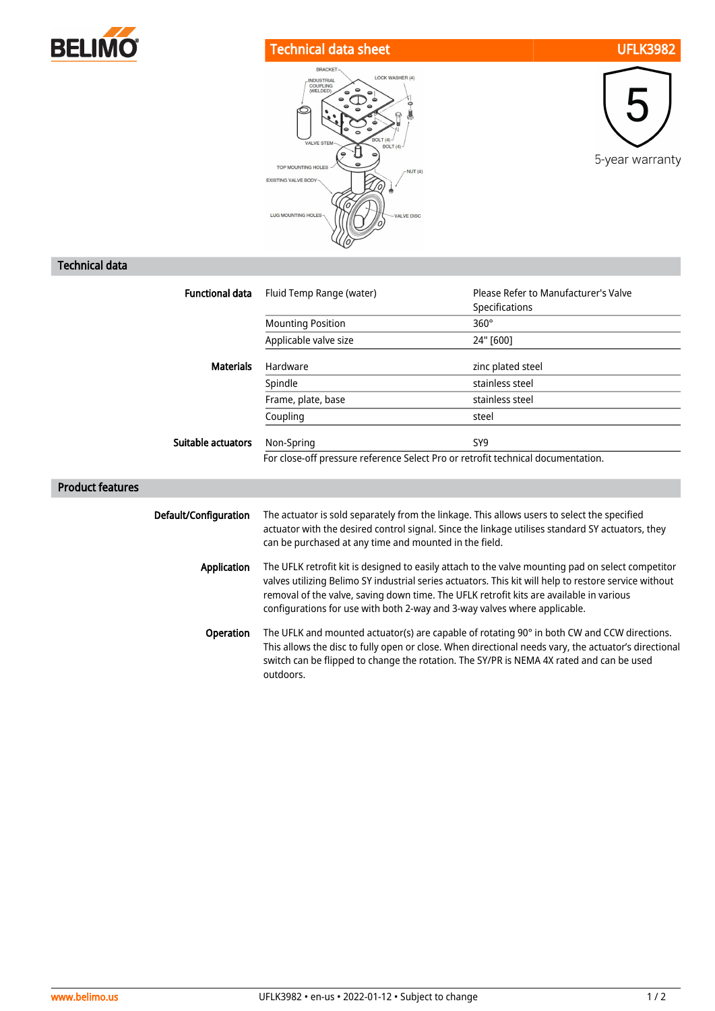

## Technical data sheet UFLK3982





## Technical data

| <b>Functional data</b>  | Fluid Temp Range (water)                                                                                                                                                                                                                                                                                                                                                           | Please Refer to Manufacturer's Valve<br>Specifications |
|-------------------------|------------------------------------------------------------------------------------------------------------------------------------------------------------------------------------------------------------------------------------------------------------------------------------------------------------------------------------------------------------------------------------|--------------------------------------------------------|
|                         | <b>Mounting Position</b>                                                                                                                                                                                                                                                                                                                                                           | $360^\circ$                                            |
|                         | Applicable valve size                                                                                                                                                                                                                                                                                                                                                              | 24" [600]                                              |
| <b>Materials</b>        | Hardware                                                                                                                                                                                                                                                                                                                                                                           | zinc plated steel                                      |
|                         | Spindle                                                                                                                                                                                                                                                                                                                                                                            | stainless steel                                        |
|                         | Frame, plate, base                                                                                                                                                                                                                                                                                                                                                                 | stainless steel                                        |
|                         | Coupling                                                                                                                                                                                                                                                                                                                                                                           | steel                                                  |
| Suitable actuators      | Non-Spring                                                                                                                                                                                                                                                                                                                                                                         | SY <sub>9</sub>                                        |
|                         | For close-off pressure reference Select Pro or retrofit technical documentation.                                                                                                                                                                                                                                                                                                   |                                                        |
| <b>Product features</b> |                                                                                                                                                                                                                                                                                                                                                                                    |                                                        |
|                         |                                                                                                                                                                                                                                                                                                                                                                                    |                                                        |
| Default/Configuration   | The actuator is sold separately from the linkage. This allows users to select the specified<br>actuator with the desired control signal. Since the linkage utilises standard SY actuators, they<br>can be purchased at any time and mounted in the field.                                                                                                                          |                                                        |
| <b>Application</b>      | The UFLK retrofit kit is designed to easily attach to the valve mounting pad on select competitor<br>valves utilizing Belimo SY industrial series actuators. This kit will help to restore service without<br>removal of the valve, saving down time. The UFLK retrofit kits are available in various<br>configurations for use with both 2-way and 3-way valves where applicable. |                                                        |
| Operation               | The UFLK and mounted actuator(s) are capable of rotating 90° in both CW and CCW directions.<br>This allows the disc to fully open or close. When directional needs vary, the actuator's directional<br>switch can be flipped to change the rotation. The SY/PR is NEMA 4X rated and can be used<br>outdoors.                                                                       |                                                        |